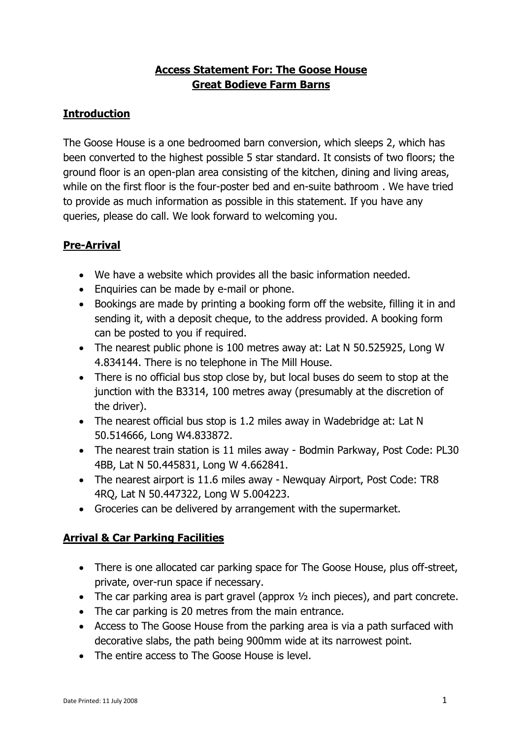## **Access Statement For: The Goose House Great Bodieve Farm Barns**

# **Introduction**

The Goose House is a one bedroomed barn conversion, which sleeps 2, which has been converted to the highest possible 5 star standard. It consists of two floors; the ground floor is an open-plan area consisting of the kitchen, dining and living areas, while on the first floor is the four-poster bed and en-suite bathroom . We have tried to provide as much information as possible in this statement. If you have any queries, please do call. We look forward to welcoming you.

## **Pre-Arrival**

- We have a website which provides all the basic information needed.
- Enquiries can be made by e-mail or phone.
- Bookings are made by printing a booking form off the website, filling it in and sending it, with a deposit cheque, to the address provided. A booking form can be posted to you if required.
- The nearest public phone is 100 metres away at: Lat N 50.525925, Long W 4.834144. There is no telephone in The Mill House.
- There is no official bus stop close by, but local buses do seem to stop at the junction with the B3314, 100 metres away (presumably at the discretion of the driver).
- The nearest official bus stop is 1.2 miles away in Wadebridge at: Lat N 50.514666, Long W4.833872.
- The nearest train station is 11 miles away Bodmin Parkway, Post Code: PL30 4BB, Lat N 50.445831, Long W 4.662841.
- The nearest airport is 11.6 miles away Newquay Airport, Post Code: TR8 4RQ, Lat N 50.447322, Long W 5.004223.
- Groceries can be delivered by arrangement with the supermarket.

## **Arrival & Car Parking Facilities**

- There is one allocated car parking space for The Goose House, plus off-street, private, over-run space if necessary.
- The car parking area is part gravel (approx  $\frac{1}{2}$  inch pieces), and part concrete.
- The car parking is 20 metres from the main entrance.
- Access to The Goose House from the parking area is via a path surfaced with decorative slabs, the path being 900mm wide at its narrowest point.
- The entire access to The Goose House is level.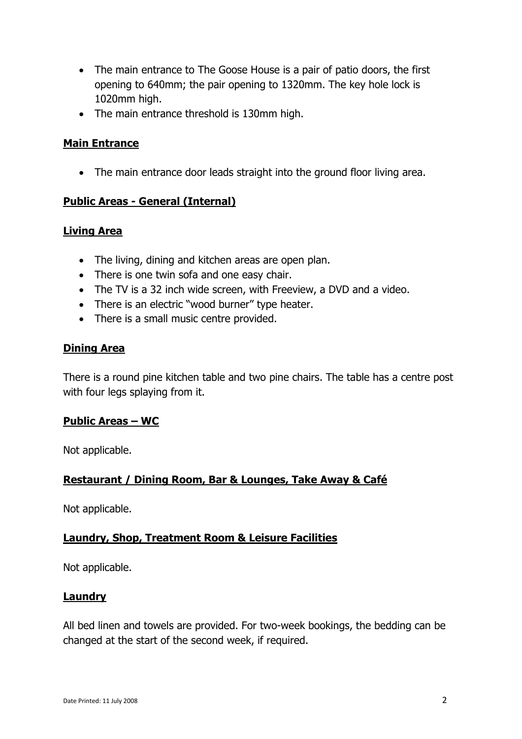- The main entrance to The Goose House is a pair of patio doors, the first opening to 640mm; the pair opening to 1320mm. The key hole lock is 1020mm high.
- The main entrance threshold is 130mm high.

## **Main Entrance**

• The main entrance door leads straight into the ground floor living area.

## **Public Areas - General (Internal)**

## **Living Area**

- The living, dining and kitchen areas are open plan.
- There is one twin sofa and one easy chair.
- The TV is a 32 inch wide screen, with Freeview, a DVD and a video.
- There is an electric "wood burner" type heater.
- There is a small music centre provided.

## **Dining Area**

There is a round pine kitchen table and two pine chairs. The table has a centre post with four legs splaying from it.

## **Public Areas – WC**

Not applicable.

## **Restaurant / Dining Room, Bar & Lounges, Take Away & Café**

Not applicable.

## **Laundry, Shop, Treatment Room & Leisure Facilities**

Not applicable.

## **Laundry**

All bed linen and towels are provided. For two-week bookings, the bedding can be changed at the start of the second week, if required.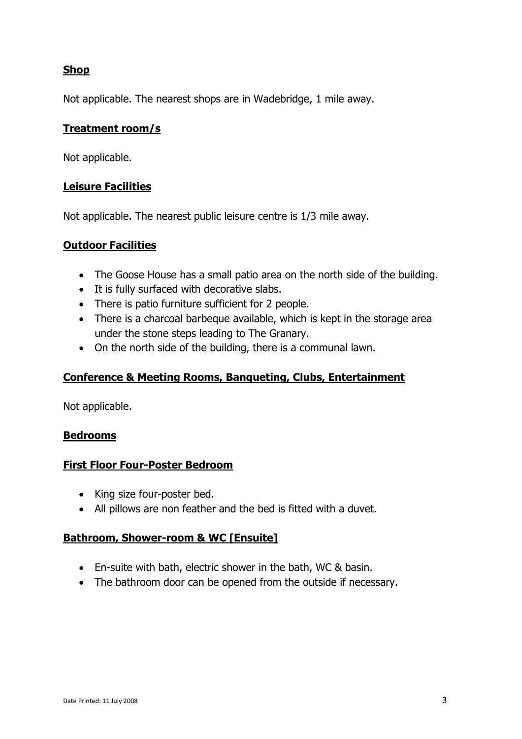## **Shop**

Not applicable. The nearest shops are in Wadebridge, 1 mile away.

#### **Treatment room/s**

Not applicable.

#### **Leisure Facilities**

Not applicable. The nearest public leisure centre is 1/3 mile away.

#### **Outdoor Facilities**

- The Goose House has a small patio area on the north side of the building.
- It is fully surfaced with decorative slabs.
- There is patio furniture sufficient for 2 people.
- There is a charcoal barbeque available, which is kept in the storage area under the stone steps leading to The Granary.
- On the north side of the building, there is a communal lawn.

## **Conference & Meeting Rooms, Banqueting, Clubs, Entertainment**

Not applicable.

## **Bedrooms**

#### **First Floor Four-Poster Bedroom**

- King size four-poster bed.
- All pillows are non feather and the bed is fitted with a duvet.

## **Bathroom, Shower-room & WC [Ensuite]**

- En-suite with bath, electric shower in the bath, WC & basin.
- The bathroom door can be opened from the outside if necessary.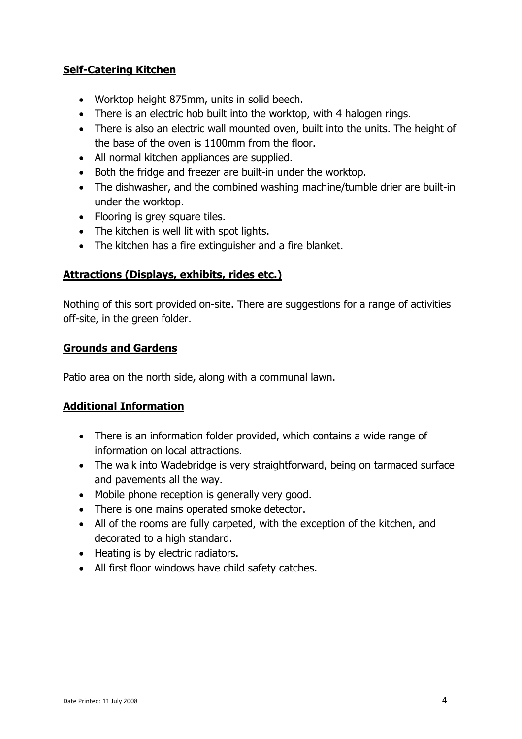## **Self-Catering Kitchen**

- Worktop height 875mm, units in solid beech.
- There is an electric hob built into the worktop, with 4 halogen rings.
- There is also an electric wall mounted oven, built into the units. The height of the base of the oven is 1100mm from the floor.
- All normal kitchen appliances are supplied.
- Both the fridge and freezer are built-in under the worktop.
- The dishwasher, and the combined washing machine/tumble drier are built-in under the worktop.
- Flooring is grey square tiles.
- The kitchen is well lit with spot lights.
- The kitchen has a fire extinguisher and a fire blanket.

## **Attractions (Displays, exhibits, rides etc.)**

Nothing of this sort provided on-site. There are suggestions for a range of activities off-site, in the green folder.

## **Grounds and Gardens**

Patio area on the north side, along with a communal lawn.

## **Additional Information**

- There is an information folder provided, which contains a wide range of information on local attractions.
- The walk into Wadebridge is very straightforward, being on tarmaced surface and pavements all the way.
- Mobile phone reception is generally very good.
- There is one mains operated smoke detector.
- All of the rooms are fully carpeted, with the exception of the kitchen, and decorated to a high standard.
- Heating is by electric radiators.
- All first floor windows have child safety catches.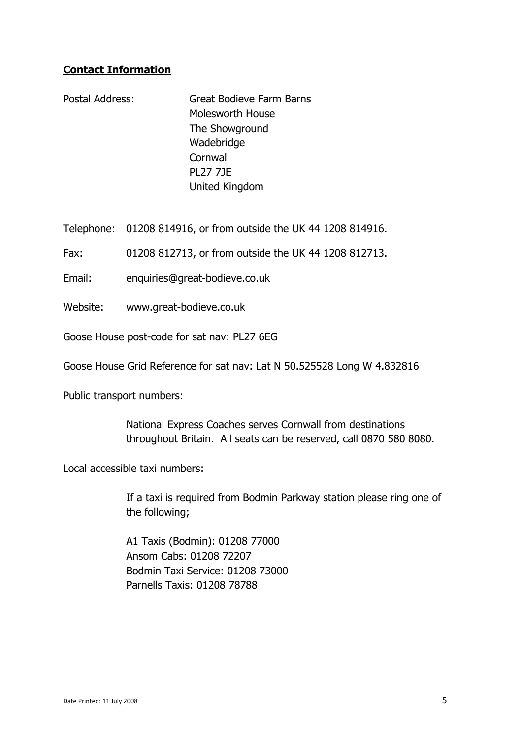## **Contact Information**

Postal Address: Great Bodieve Farm Barns Molesworth House The Showground Wadebridge **Cornwall** PL27 7JE United Kingdom

Telephone: 01208 814916, or from outside the UK 44 1208 814916.

Fax: 01208 812713, or from outside the UK 44 1208 812713.

Email: enquiries@great-bodieve.co.uk

Website: www.great-bodieve.co.uk

Goose House post-code for sat nav: PL27 6EG

Goose House Grid Reference for sat nav: Lat N 50.525528 Long W 4.832816

Public transport numbers:

National Express Coaches serves Cornwall from destinations throughout Britain. All seats can be reserved, call 0870 580 8080.

Local accessible taxi numbers:

If a taxi is required from Bodmin Parkway station please ring one of the following;

A1 Taxis (Bodmin): 01208 77000 Ansom Cabs: 01208 72207 Bodmin Taxi Service: 01208 73000 Parnells Taxis: 01208 78788